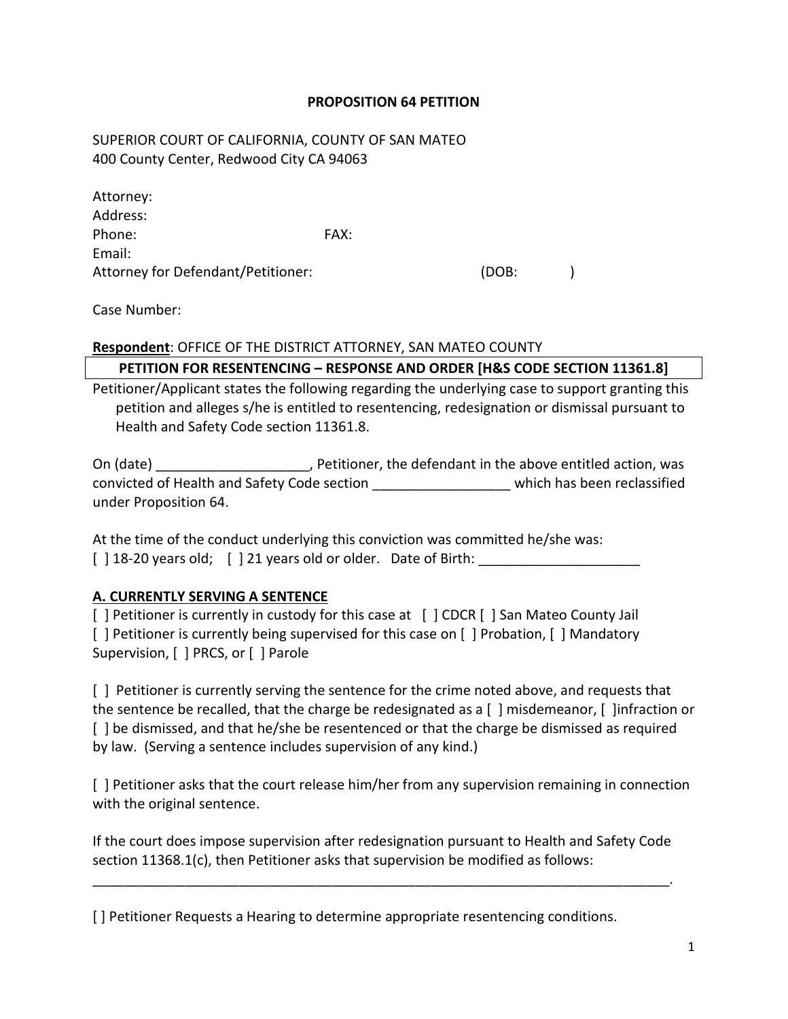#### **PROPOSITION 64 PETITION**

### SUPERIOR COURT OF CALIFORNIA, COUNTY OF SAN MATEO 400 County Center, Redwood City CA 94063

| Attorney:                          |      |       |  |
|------------------------------------|------|-------|--|
| Address:                           |      |       |  |
| Phone:                             | FAX: |       |  |
| Email:                             |      |       |  |
| Attorney for Defendant/Petitioner: |      | (DOB: |  |

Case Number:

## **Respondent**: OFFICE OF THE DISTRICT ATTORNEY, SAN MATEO COUNTY

## **PETITION FOR RESENTENCING – RESPONSE AND ORDER [H&S CODE SECTION 11361.8]**

Petitioner/Applicant states the following regarding the underlying case to support granting this petition and alleges s/he is entitled to resentencing, redesignation or dismissal pursuant to Health and Safety Code section 11361.8.

On (date) The Unit of Petitioner, the defendant in the above entitled action, was convicted of Health and Safety Code section \_\_\_\_\_\_\_\_\_\_\_\_\_\_\_\_\_\_ which has been reclassified under Proposition 64.

At the time of the conduct underlying this conviction was committed he/she was:  $[$ ] 18-20 years old;  $[$ ] 21 years old or older. Date of Birth:

#### **A. CURRENTLY SERVING A SENTENCE**

[ ] Petitioner is currently in custody for this case at [ ] CDCR [ ] San Mateo County Jail [ ] Petitioner is currently being supervised for this case on [ ] Probation, [ ] Mandatory Supervision, [ ] PRCS, or [ ] Parole

[ ] Petitioner is currently serving the sentence for the crime noted above, and requests that the sentence be recalled, that the charge be redesignated as a [ ] misdemeanor, [ ]infraction or [ ] be dismissed, and that he/she be resentenced or that the charge be dismissed as required by law. (Serving a sentence includes supervision of any kind.)

[ ] Petitioner asks that the court release him/her from any supervision remaining in connection with the original sentence.

If the court does impose supervision after redesignation pursuant to Health and Safety Code section 11368.1(c), then Petitioner asks that supervision be modified as follows:

\_\_\_\_\_\_\_\_\_\_\_\_\_\_\_\_\_\_\_\_\_\_\_\_\_\_\_\_\_\_\_\_\_\_\_\_\_\_\_\_\_\_\_\_\_\_\_\_\_\_\_\_\_\_\_\_\_\_\_\_\_\_\_\_\_\_\_\_\_\_\_\_\_\_\_.

[] Petitioner Requests a Hearing to determine appropriate resentencing conditions.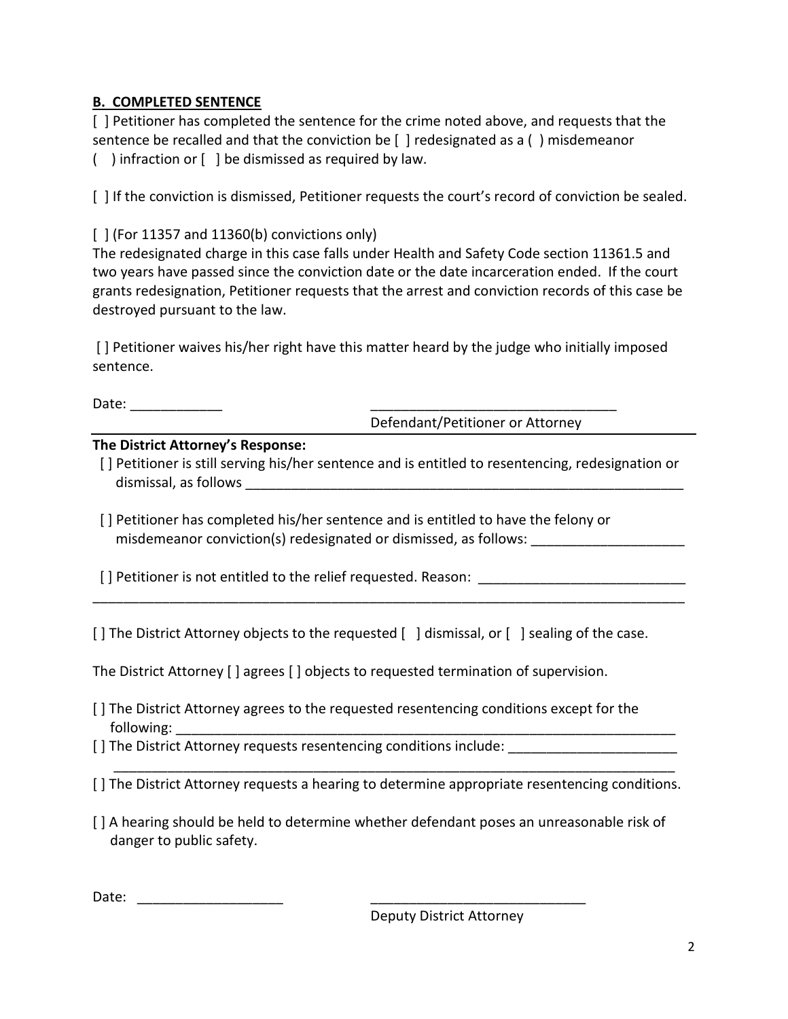# **B. COMPLETED SENTENCE**

[ ] Petitioner has completed the sentence for the crime noted above, and requests that the sentence be recalled and that the conviction be [ ] redesignated as a ( ) misdemeanor ( ) infraction or [ ] be dismissed as required by law.

[ ] If the conviction is dismissed, Petitioner requests the court's record of conviction be sealed.

# $\lceil$   $\rceil$  (For 11357 and 11360(b) convictions only)

The redesignated charge in this case falls under Health and Safety Code section 11361.5 and two years have passed since the conviction date or the date incarceration ended. If the court grants redesignation, Petitioner requests that the arrest and conviction records of this case be destroyed pursuant to the law.

[ ] Petitioner waives his/her right have this matter heard by the judge who initially imposed sentence.

Date:  $\Box$ 

Defendant/Petitioner or Attorney

## **The District Attorney's Response:**

- [] Petitioner is still serving his/her sentence and is entitled to resentencing, redesignation or dismissal, as follows the control of the control of the control of the control of the control of the control of the control of the control of the control of the control of the control of the control of the control of the c
- [ ] Petitioner has completed his/her sentence and is entitled to have the felony or misdemeanor conviction(s) redesignated or dismissed, as follows:

[ ] Petitioner is not entitled to the relief requested. Reason:

[] The District Attorney objects to the requested [] dismissal, or [] sealing of the case.

\_\_\_\_\_\_\_\_\_\_\_\_\_\_\_\_\_\_\_\_\_\_\_\_\_\_\_\_\_\_\_\_\_\_\_\_\_\_\_\_\_\_\_\_\_\_\_\_\_\_\_\_\_\_\_\_\_\_\_\_\_\_\_\_\_\_\_\_\_\_\_\_\_\_\_\_\_

The District Attorney [ ] agrees [ ] objects to requested termination of supervision.

- [ ] The District Attorney agrees to the requested resentencing conditions except for the following:
- [ ] The District Attorney requests resentencing conditions include: \_\_\_\_\_\_\_\_\_\_\_\_\_

 \_\_\_\_\_\_\_\_\_\_\_\_\_\_\_\_\_\_\_\_\_\_\_\_\_\_\_\_\_\_\_\_\_\_\_\_\_\_\_\_\_\_\_\_\_\_\_\_\_\_\_\_\_\_\_\_\_\_\_\_\_\_\_\_\_\_\_\_\_\_\_\_\_ [ ] The District Attorney requests a hearing to determine appropriate resentencing conditions.

[ ] A hearing should be held to determine whether defendant poses an unreasonable risk of danger to public safety.

| $\overline{\phantom{a}}$<br>Dalc. |                       |  |
|-----------------------------------|-----------------------|--|
|                                   | _____________________ |  |
|                                   |                       |  |